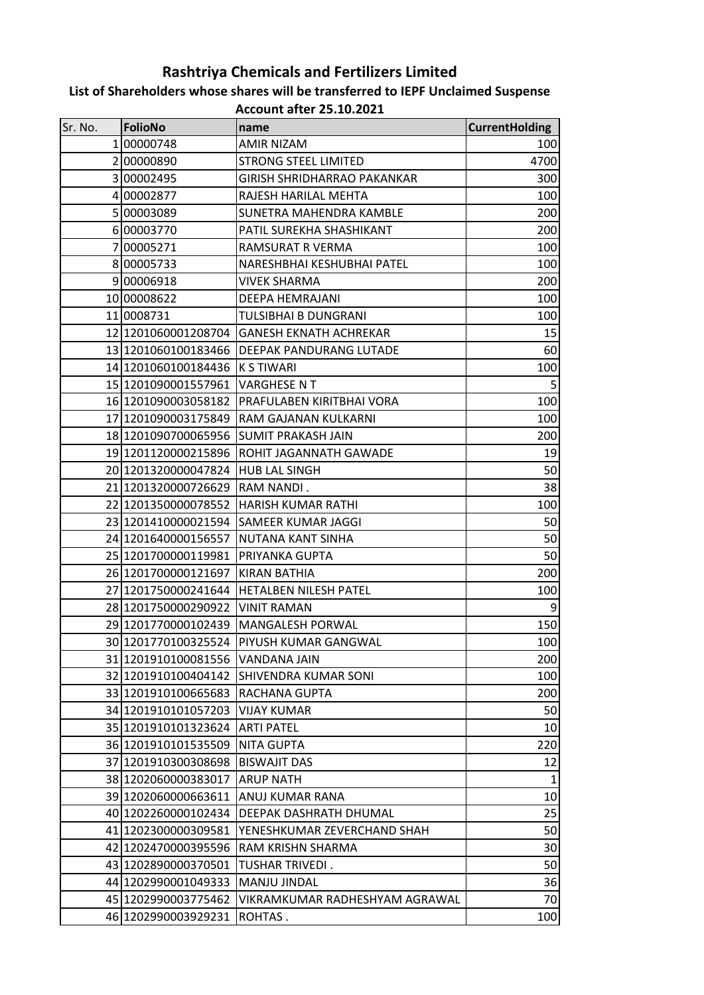## **Rashtriya Chemicals and Fertilizers Limited**

## **List of Shareholders whose shares will be transferred to IEPF Unclaimed Suspense**

**Account after 25.10.2021**

| Sr. No. | <b>FolioNo</b>      | name                               | <b>CurrentHolding</b> |
|---------|---------------------|------------------------------------|-----------------------|
|         | 100000748           | <b>AMIR NIZAM</b>                  | 100                   |
|         | 200000890           | <b>STRONG STEEL LIMITED</b>        | 4700                  |
|         | 300002495           | <b>GIRISH SHRIDHARRAO PAKANKAR</b> | 300                   |
|         | 4 00002877          | RAJESH HARILAL MEHTA               | 100                   |
|         | 500003089           | SUNETRA MAHENDRA KAMBLE            | 200                   |
|         | 600003770           | PATIL SUREKHA SHASHIKANT           | 200                   |
|         | 700005271           | RAMSURAT R VERMA                   | 100                   |
|         | 800005733           | NARESHBHAI KESHUBHAI PATEL         | 100                   |
|         | 900006918           | <b>VIVEK SHARMA</b>                | 200                   |
|         | 10 00008622         | DEEPA HEMRAJANI                    | 100                   |
|         | 11 0008731          | TULSIBHAI B DUNGRANI               | 100                   |
|         | 12 1201060001208704 | <b>GANESH EKNATH ACHREKAR</b>      | 15                    |
|         | 13 1201060100183466 | <b>DEEPAK PANDURANG LUTADE</b>     | 60                    |
|         | 14 1201060100184436 | <b>K S TIWARI</b>                  | 100                   |
|         | 15 1201090001557961 | <b>VARGHESE NT</b>                 | $5\phantom{.0}$       |
|         | 16 1201090003058182 | PRAFULABEN KIRITBHAI VORA          | 100                   |
|         | 17 1201090003175849 | RAM GAJANAN KULKARNI               | 100                   |
|         | 18 1201090700065956 | <b>SUMIT PRAKASH JAIN</b>          | 200                   |
|         | 19 1201120000215896 | ROHIT JAGANNATH GAWADE             | 19                    |
|         | 20 1201320000047824 | <b>HUB LAL SINGH</b>               | 50                    |
|         | 21 1201320000726629 | RAM NANDI.                         | 38                    |
|         | 22 1201350000078552 | HARISH KUMAR RATHI                 | 100                   |
|         | 23 1201410000021594 | SAMEER KUMAR JAGGI                 | 50                    |
|         | 24 1201640000156557 | NUTANA KANT SINHA                  | 50                    |
|         | 25 1201700000119981 | PRIYANKA GUPTA                     | 50                    |
|         | 26 1201700000121697 | <b>KIRAN BATHIA</b>                | 200                   |
|         | 27 1201750000241644 | <b>HETALBEN NILESH PATEL</b>       | 100                   |
|         | 28 1201750000290922 | <b>VINIT RAMAN</b>                 | 9                     |
|         | 29 1201770000102439 | <b>MANGALESH PORWAL</b>            | 150                   |
|         | 30 1201770100325524 | <b>IPIYUSH KUMAR GANGWAL</b>       | 100                   |
|         | 31 1201910100081556 | <b>VANDANA JAIN</b>                | 200                   |
|         | 32 1201910100404142 | <b>SHIVENDRA KUMAR SONI</b>        | 100                   |
|         | 33 1201910100665683 | RACHANA GUPTA                      | 200                   |
|         | 34 1201910101057203 | <b>VIJAY KUMAR</b>                 | 50                    |
|         | 35 1201910101323624 | <b>ARTI PATEL</b>                  | 10                    |
|         | 36 1201910101535509 | <b>NITA GUPTA</b>                  | 220                   |
|         | 37 1201910300308698 | <b>BISWAJIT DAS</b>                | 12                    |
|         | 38 1202060000383017 | <b>ARUP NATH</b>                   | 1                     |
|         | 39 1202060000663611 | ANUJ KUMAR RANA                    | 10                    |
|         | 40 1202260000102434 | DEEPAK DASHRATH DHUMAL             | 25                    |
|         | 41 1202300000309581 | YENESHKUMAR ZEVERCHAND SHAH        | 50                    |
|         | 42 1202470000395596 | RAM KRISHN SHARMA                  | 30                    |
|         | 43 1202890000370501 | TUSHAR TRIVEDI.                    | 50                    |
|         | 44 1202990001049333 | MANJU JINDAL                       | 36                    |
|         | 45 1202990003775462 | VIKRAMKUMAR RADHESHYAM AGRAWAL     | 70                    |
|         | 46 1202990003929231 | ROHTAS.                            | 100                   |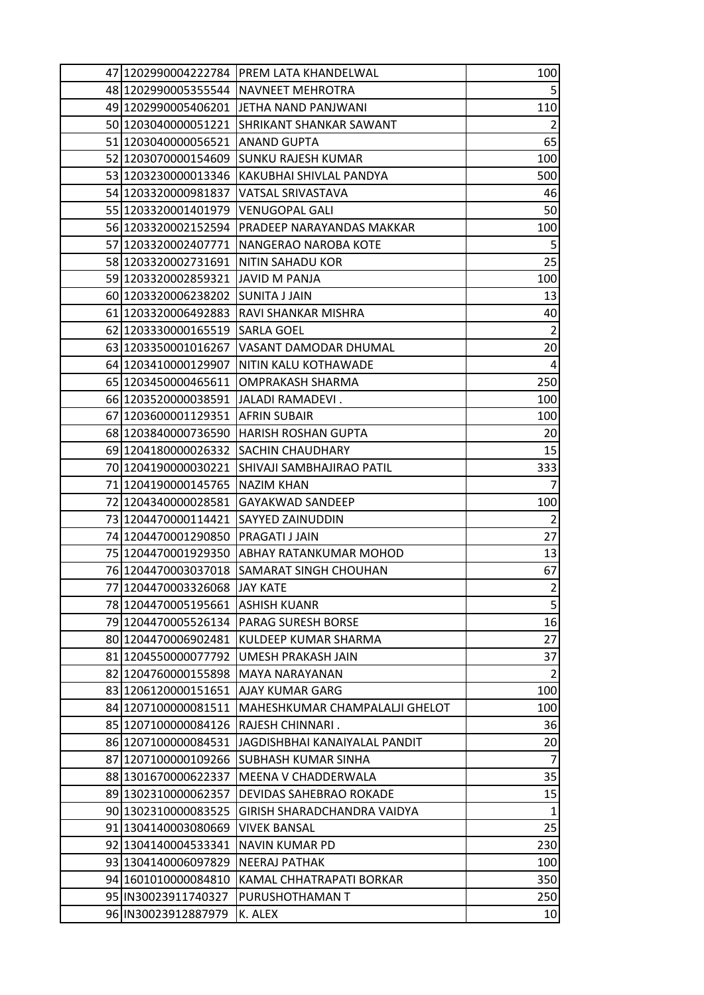|                                       | 47 1202990004222784 PREM LATA KHANDELWAL      | 100            |
|---------------------------------------|-----------------------------------------------|----------------|
|                                       | 48 1202990005355544 NAVNEET MEHROTRA          | $\overline{5}$ |
|                                       | 49 1202990005406201 JETHA NAND PANJWANI       | 110            |
| 50 1203040000051221                   | <b>SHRIKANT SHANKAR SAWANT</b>                | $\overline{2}$ |
| 51 1203040000056521  ANAND GUPTA      |                                               | 65             |
|                                       | 52 1203070000154609 SUNKU RAJESH KUMAR        | 100            |
|                                       | 53 1203230000013346  KAKUBHAI SHIVLAL PANDYA  | 500            |
| 54 1203320000981837                   | <b>VATSAL SRIVASTAVA</b>                      | 46             |
| 55 1203320001401979                   | <b>VENUGOPAL GALI</b>                         | 50             |
|                                       | 56 1203320002152594 PRADEEP NARAYANDAS MAKKAR | 100            |
|                                       | 57 1203320002407771 NANGERAO NAROBA KOTE      | 5              |
| 58 1203320002731691 NITIN SAHADU KOR  |                                               | 25             |
| 59 1203320002859321                   | JAVID M PANJA                                 | 100            |
| 60 1203320006238202 SUNITA J JAIN     |                                               | 13             |
| 61 1203320006492883                   | RAVI SHANKAR MISHRA                           | 40             |
| 62 1203330000165519                   | <b>SARLA GOEL</b>                             | $\overline{2}$ |
|                                       | 63 1203350001016267 VASANT DAMODAR DHUMAL     | 20             |
|                                       | 64 1203410000129907 NITIN KALU KOTHAWADE      | 4              |
|                                       | 65 1203450000465611 OMPRAKASH SHARMA          | 250            |
| 66 1203520000038591 JJALADI RAMADEVI. |                                               | 100            |
| 67 1203600001129351 AFRIN SUBAIR      |                                               | 100            |
|                                       | 68 1203840000736590 HARISH ROSHAN GUPTA       | 20             |
|                                       | 69 1204180000026332 SACHIN CHAUDHARY          | 15             |
|                                       | 70 1204190000030221 SHIVAJI SAMBHAJIRAO PATIL | 333            |
| 71 1204190000145765  NAZIM KHAN       |                                               | 7              |
|                                       | 72 1204340000028581  GAYAKWAD SANDEEP         | 100            |
| 73 1204470000114421                   | SAYYED ZAINUDDIN                              | $\overline{2}$ |
| 74 1204470001290850 PRAGATI J JAIN    |                                               | 27             |
| 75 1204470001929350                   | <b>JABHAY RATANKUMAR MOHOD</b>                | 13             |
|                                       | 76 1204470003037018 SAMARAT SINGH CHOUHAN     | 67             |
| 77 1204470003326068 JJAY KATE         |                                               | $\overline{2}$ |
| 78 1204470005195661                   | <b>ASHISH KUANR</b>                           | 5              |
| 79 1204470005526134                   | <b>PARAG SURESH BORSE</b>                     | 16             |
| 80 1204470006902481                   | KULDEEP KUMAR SHARMA                          | 27             |
| 81 1204550000077792                   | UMESH PRAKASH JAIN                            | 37             |
| 82 1204760000155898                   | <b>MAYA NARAYANAN</b>                         | 2              |
| 83 1206120000151651                   | <b>AJAY KUMAR GARG</b>                        | 100            |
| 84 1207100000081511                   | MAHESHKUMAR CHAMPALALJI GHELOT                | 100            |
| 85 1207100000084126                   | RAJESH CHINNARI.                              | 36             |
| 86 1207100000084531                   | JAGDISHBHAI KANAIYALAL PANDIT                 | 20             |
| 87 1207100000109266                   | SUBHASH KUMAR SINHA                           | $\overline{7}$ |
| 88 1301670000622337                   | MEENA V CHADDERWALA                           | 35             |
| 89 1302310000062357                   | DEVIDAS SAHEBRAO ROKADE                       | 15             |
| 90 1302310000083525                   | GIRISH SHARADCHANDRA VAIDYA                   | 1              |
| 91 1304140003080669                   | <b>VIVEK BANSAL</b>                           | 25             |
| 92 1304140004533341                   | NAVIN KUMAR PD                                | 230            |
| 93 1304140006097829                   | <b>NEERAJ PATHAK</b>                          | 100            |
| 94 1601010000084810                   | KAMAL CHHATRAPATI BORKAR                      | 350            |
| 95 IN30023911740327                   | PURUSHOTHAMAN T                               | 250            |
| 96 IN30023912887979                   | K. ALEX                                       | 10             |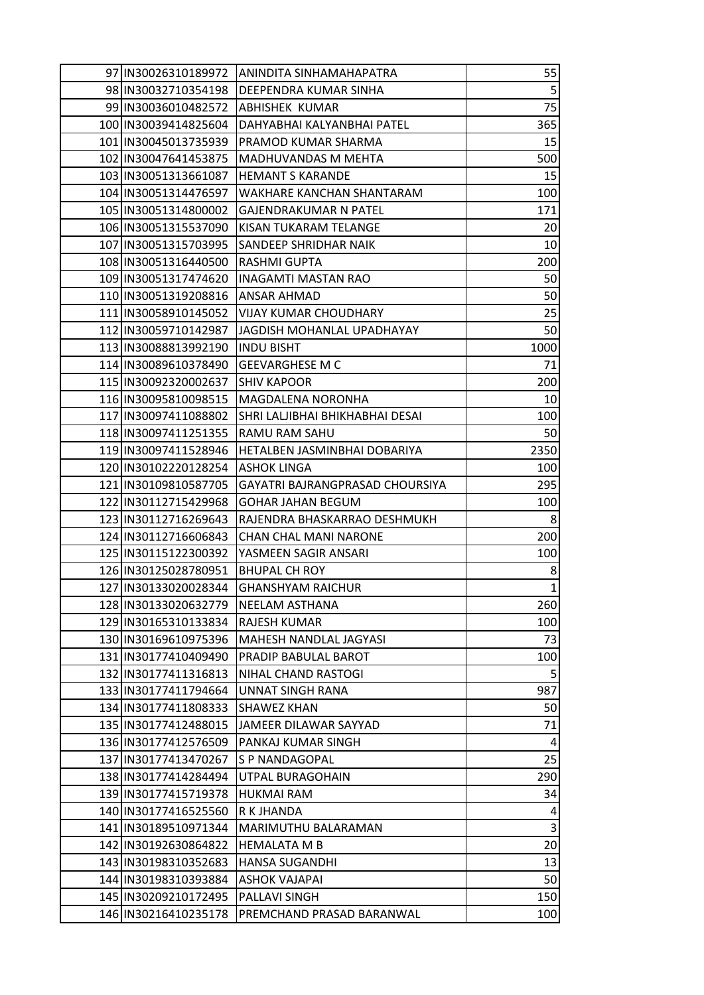| 97 IN30026310189972                          | IANINDITA SINHAMAHAPATRA                    | 55                   |
|----------------------------------------------|---------------------------------------------|----------------------|
| 98 IN30032710354198                          | <b>DEEPENDRA KUMAR SINHA</b>                | $5\phantom{.}$       |
| 99 IN 30036010482572                         | ABHISHEK KUMAR                              | 75                   |
| 100 IN30039414825604                         | DAHYABHAI KALYANBHAI PATEL                  | 365                  |
| 101 IN30045013735939                         | PRAMOD KUMAR SHARMA                         | 15                   |
| 102 IN30047641453875                         | MADHUVANDAS M MEHTA                         | 500                  |
| 103 IN30051313661087                         | <b>HEMANT S KARANDE</b>                     | 15                   |
| 104 IN30051314476597                         | WAKHARE KANCHAN SHANTARAM                   | 100                  |
| 105 IN30051314800002                         | <b>GAJENDRAKUMAR N PATEL</b>                | 171                  |
| 106 IN30051315537090                         | KISAN TUKARAM TELANGE                       | 20                   |
| 107 IN30051315703995                         | SANDEEP SHRIDHAR NAIK                       | 10                   |
| 108 IN30051316440500                         | <b>RASHMI GUPTA</b>                         | 200                  |
| 109 IN30051317474620                         | <b>INAGAMTI MASTAN RAO</b>                  | 50                   |
| 110 IN30051319208816                         | <b>ANSAR AHMAD</b>                          | 50                   |
| 111 IN30058910145052                         | VIJAY KUMAR CHOUDHARY                       | 25                   |
| 112 IN30059710142987                         | JAGDISH MOHANLAL UPADHAYAY                  | 50                   |
| 113 IN30088813992190                         | <b>INDU BISHT</b>                           | 1000                 |
| 114 IN30089610378490                         | <b>GEEVARGHESE M C</b>                      | 71                   |
| 115 IN30092320002637                         | <b>SHIV KAPOOR</b>                          | 200                  |
| 116 IN30095810098515                         | <b>MAGDALENA NORONHA</b>                    | 10                   |
| 117 IN30097411088802                         | SHRI LALJIBHAI BHIKHABHAI DESAI             | 100                  |
| 118 IN30097411251355                         | RAMU RAM SAHU                               | 50                   |
| 119 IN30097411528946                         | HETALBEN JASMINBHAI DOBARIYA                | 2350                 |
| 120 IN30102220128254                         | <b>ASHOK LINGA</b>                          | 100                  |
| 121 IN30109810587705                         | GAYATRI BAJRANGPRASAD CHOURSIYA             | 295                  |
| 122 IN30112715429968                         | <b>GOHAR JAHAN BEGUM</b>                    | 100                  |
| 123 IN30112716269643                         | RAJENDRA BHASKARRAO DESHMUKH                | 8                    |
| 124 IN30112716606843                         | <b>CHAN CHAL MANI NARONE</b>                | 200                  |
| 125 IN30115122300392                         | YASMEEN SAGIR ANSARI                        | 100                  |
| 126 IN30125028780951                         | <b>BHUPAL CH ROY</b>                        | 8                    |
| 127 IN30133020028344                         | <b>GHANSHYAM RAICHUR</b>                    | 1                    |
| 128 IN30133020632779                         | <b>NEELAM ASTHANA</b>                       | 260                  |
| 129 IN30165310133834                         | <b>RAJESH KUMAR</b>                         | 100                  |
| 130 IN30169610975396                         | MAHESH NANDLAL JAGYASI                      | 73                   |
| 131 IN30177410409490                         | <b>PRADIP BABULAL BAROT</b>                 | 100                  |
| 132 IN30177411316813                         | NIHAL CHAND RASTOGI                         | 5                    |
| 133 IN30177411794664                         | <b>UNNAT SINGH RANA</b>                     | 987                  |
| 134 IN30177411808333                         | <b>SHAWEZ KHAN</b>                          | 50                   |
| 135 IN30177412488015                         | JAMEER DILAWAR SAYYAD<br>PANKAJ KUMAR SINGH | 71                   |
| 136 IN30177412576509                         |                                             | $\overline{4}$<br>25 |
| 137 IN30177413470267<br>138 IN30177414284494 | S P NANDAGOPAL<br>UTPAL BURAGOHAIN          | 290                  |
| 139 IN30177415719378                         | <b>HUKMAI RAM</b>                           | 34                   |
| 140 IN30177416525560                         | R K JHANDA                                  | 4                    |
| 141 IN30189510971344                         | MARIMUTHU BALARAMAN                         | $\overline{3}$       |
| 142 IN30192630864822                         | <b>HEMALATA M B</b>                         | 20                   |
| 143   IN30198310352683                       | <b>HANSA SUGANDHI</b>                       | 13                   |
| 144 IN30198310393884                         | <b>ASHOK VAJAPAI</b>                        | 50                   |
| 145 IN30209210172495                         | PALLAVI SINGH                               | 150                  |
| 146 IN30216410235178                         | PREMCHAND PRASAD BARANWAL                   |                      |
|                                              |                                             | 100                  |